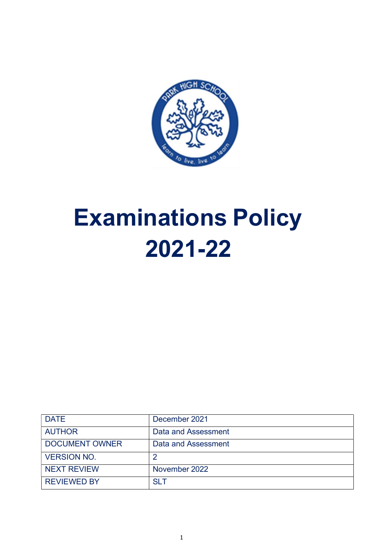

# Examinations Policy 2021-22

| <b>DATE</b>           | December 2021       |
|-----------------------|---------------------|
| <b>AUTHOR</b>         | Data and Assessment |
| <b>DOCUMENT OWNER</b> | Data and Assessment |
| <b>VERSION NO.</b>    |                     |
| <b>NEXT REVIEW</b>    | November 2022       |
| <b>REVIEWED BY</b>    | SIT                 |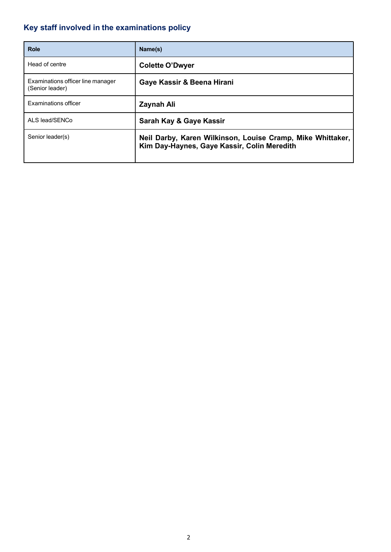# Key staff involved in the examinations policy

| <b>Role</b>                                          | Name(s)                                                                                                   |
|------------------------------------------------------|-----------------------------------------------------------------------------------------------------------|
| Head of centre                                       | <b>Colette O'Dwyer</b>                                                                                    |
| Examinations officer line manager<br>(Senior leader) | Gaye Kassir & Beena Hirani                                                                                |
| <b>Examinations officer</b>                          | <b>Zaynah Ali</b>                                                                                         |
| ALS lead/SENCo                                       | Sarah Kay & Gaye Kassir                                                                                   |
| Senior leader(s)                                     | Neil Darby, Karen Wilkinson, Louise Cramp, Mike Whittaker,<br>Kim Day-Haynes, Gaye Kassir, Colin Meredith |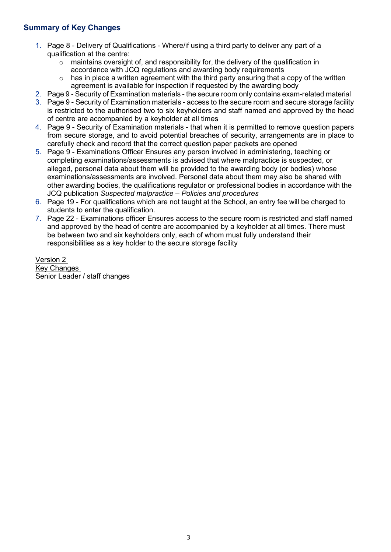## Summary of Key Changes

- 1. Page 8 Delivery of Qualifications Where/if using a third party to deliver any part of a qualification at the centre:
	- $\circ$  maintains oversight of, and responsibility for, the delivery of the qualification in accordance with JCQ regulations and awarding body requirements
	- $\circ$  has in place a written agreement with the third party ensuring that a copy of the written agreement is available for inspection if requested by the awarding body
- 2. Page 9 Security of Examination materials the secure room only contains exam-related material
- 3. Page 9 Security of Examination materials access to the secure room and secure storage facility is restricted to the authorised two to six keyholders and staff named and approved by the head of centre are accompanied by a keyholder at all times
- 4. Page 9 Security of Examination materials that when it is permitted to remove question papers from secure storage, and to avoid potential breaches of security, arrangements are in place to carefully check and record that the correct question paper packets are opened
- 5. Page 9 Examinations Officer Ensures any person involved in administering, teaching or completing examinations/assessments is advised that where malpractice is suspected, or alleged, personal data about them will be provided to the awarding body (or bodies) whose examinations/assessments are involved. Personal data about them may also be shared with other awarding bodies, the qualifications regulator or professional bodies in accordance with the JCQ publication Suspected malpractice – Policies and procedures
- 6. Page 19 For qualifications which are not taught at the School, an entry fee will be charged to students to enter the qualification.
- 7. Page 22 Examinations officer Ensures access to the secure room is restricted and staff named and approved by the head of centre are accompanied by a keyholder at all times. There must be between two and six keyholders only, each of whom must fully understand their responsibilities as a key holder to the secure storage facility

Version 2 Key Changes Senior Leader / staff changes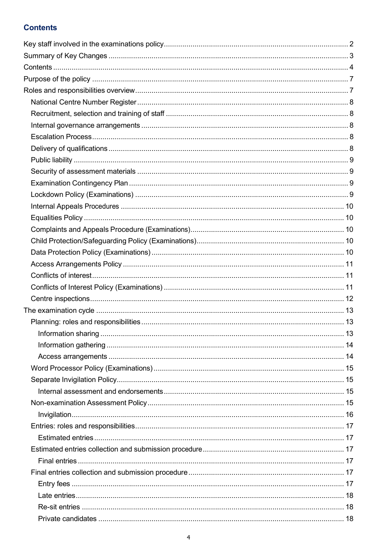## **Contents**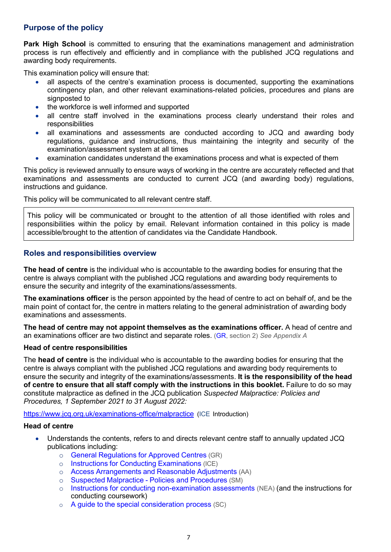## Purpose of the policy

**Park High School** is committed to ensuring that the examinations management and administration process is run effectively and efficiently and in compliance with the published JCQ regulations and awarding body requirements.

This examination policy will ensure that:

- all aspects of the centre's examination process is documented, supporting the examinations contingency plan, and other relevant examinations-related policies, procedures and plans are signposted to
- the workforce is well informed and supported
- all centre staff involved in the examinations process clearly understand their roles and responsibilities
- all examinations and assessments are conducted according to JCQ and awarding body regulations, guidance and instructions, thus maintaining the integrity and security of the examination/assessment system at all times
- examination candidates understand the examinations process and what is expected of them

This policy is reviewed annually to ensure ways of working in the centre are accurately reflected and that examinations and assessments are conducted to current JCQ (and awarding body) regulations, instructions and guidance.

This policy will be communicated to all relevant centre staff.

This policy will be communicated or brought to the attention of all those identified with roles and responsibilities within the policy by email. Relevant information contained in this policy is made accessible/brought to the attention of candidates via the Candidate Handbook.

## Roles and responsibilities overview

The head of centre is the individual who is accountable to the awarding bodies for ensuring that the centre is always compliant with the published JCQ regulations and awarding body requirements to ensure the security and integrity of the examinations/assessments.

The examinations officer is the person appointed by the head of centre to act on behalf of, and be the main point of contact for, the centre in matters relating to the general administration of awarding body examinations and assessments.

The head of centre may not appoint themselves as the examinations officer. A head of centre and an examinations officer are two distinct and separate roles. (GR, section 2) See Appendix A

#### Head of centre responsibilities

The **head of centre** is the individual who is accountable to the awarding bodies for ensuring that the centre is always compliant with the published JCQ regulations and awarding body requirements to ensure the security and integrity of the examinations/assessments. It is the responsibility of the head of centre to ensure that all staff comply with the instructions in this booklet. Failure to do so may constitute malpractice as defined in the JCQ publication Suspected Malpractice: Policies and Procedures, 1 September 2021 to 31 August 2022:

https://www.jcq.org.uk/examinations-office/malpractice (ICE Introduction)

#### Head of centre

- Understands the contents, refers to and directs relevant centre staff to annually updated JCQ publications including:
	- o General Regulations for Approved Centres (GR)
	- o Instructions for Conducting Examinations (ICE)
	- o Access Arrangements and Reasonable Adjustments (AA)
	- o Suspected Malpractice Policies and Procedures (SM)
	- o Instructions for conducting non-examination assessments (NEA) (and the instructions for conducting coursework)
	- o A guide to the special consideration process (SC)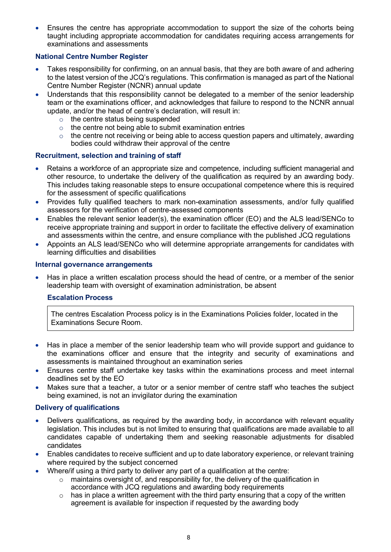Ensures the centre has appropriate accommodation to support the size of the cohorts being taught including appropriate accommodation for candidates requiring access arrangements for examinations and assessments

#### National Centre Number Register

- Takes responsibility for confirming, on an annual basis, that they are both aware of and adhering to the latest version of the JCQ's regulations. This confirmation is managed as part of the National Centre Number Register (NCNR) annual update
- Understands that this responsibility cannot be delegated to a member of the senior leadership team or the examinations officer, and acknowledges that failure to respond to the NCNR annual update, and/or the head of centre's declaration, will result in:
	- $\circ$  the centre status being suspended
	- $\circ$  the centre not being able to submit examination entries
	- $\circ$  the centre not receiving or being able to access question papers and ultimately, awarding bodies could withdraw their approval of the centre

## Recruitment, selection and training of staff

- Retains a workforce of an appropriate size and competence, including sufficient managerial and other resource, to undertake the delivery of the qualification as required by an awarding body. This includes taking reasonable steps to ensure occupational competence where this is required for the assessment of specific qualifications
- Provides fully qualified teachers to mark non-examination assessments, and/or fully qualified assessors for the verification of centre-assessed components
- Enables the relevant senior leader(s), the examination officer (EO) and the ALS lead/SENCo to receive appropriate training and support in order to facilitate the effective delivery of examination and assessments within the centre, and ensure compliance with the published JCQ regulations
- Appoints an ALS lead/SENCo who will determine appropriate arrangements for candidates with learning difficulties and disabilities

#### Internal governance arrangements

 Has in place a written escalation process should the head of centre, or a member of the senior leadership team with oversight of examination administration, be absent

#### Escalation Process

The centres Escalation Process policy is in the Examinations Policies folder, located in the Examinations Secure Room.

- Has in place a member of the senior leadership team who will provide support and guidance to the examinations officer and ensure that the integrity and security of examinations and assessments is maintained throughout an examination series
- Ensures centre staff undertake key tasks within the examinations process and meet internal deadlines set by the EO
- Makes sure that a teacher, a tutor or a senior member of centre staff who teaches the subject being examined, is not an invigilator during the examination

#### Delivery of qualifications

- Delivers qualifications, as required by the awarding body, in accordance with relevant equality legislation. This includes but is not limited to ensuring that qualifications are made available to all candidates capable of undertaking them and seeking reasonable adjustments for disabled candidates
- Enables candidates to receive sufficient and up to date laboratory experience, or relevant training where required by the subject concerned
- Where/if using a third party to deliver any part of a qualification at the centre:
	- o maintains oversight of, and responsibility for, the delivery of the qualification in accordance with JCQ regulations and awarding body requirements
	- $\circ$  has in place a written agreement with the third party ensuring that a copy of the written agreement is available for inspection if requested by the awarding body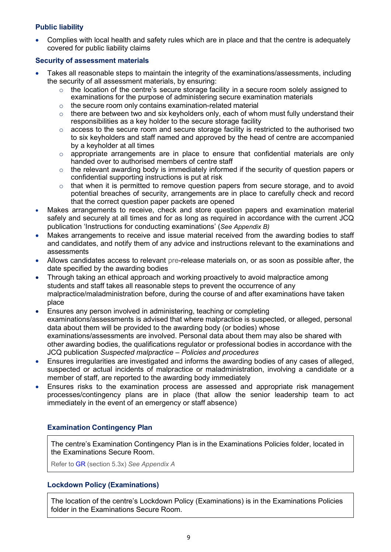## Public liability

 Complies with local health and safety rules which are in place and that the centre is adequately covered for public liability claims

#### Security of assessment materials

- Takes all reasonable steps to maintain the integrity of the examinations/assessments, including the security of all assessment materials, by ensuring:
	- o the location of the centre's secure storage facility in a secure room solely assigned to examinations for the purpose of administering secure examination materials
	- o the secure room only contains examination-related material
	- $\circ$  there are between two and six keyholders only, each of whom must fully understand their responsibilities as a key holder to the secure storage facility
	- o access to the secure room and secure storage facility is restricted to the authorised two to six keyholders and staff named and approved by the head of centre are accompanied by a keyholder at all times
	- $\circ$  appropriate arrangements are in place to ensure that confidential materials are only handed over to authorised members of centre staff
	- $\circ$  the relevant awarding body is immediately informed if the security of question papers or confidential supporting instructions is put at risk
	- $\circ$  that when it is permitted to remove question papers from secure storage, and to avoid potential breaches of security, arrangements are in place to carefully check and record that the correct question paper packets are opened
- Makes arrangements to receive, check and store question papers and examination material safely and securely at all times and for as long as required in accordance with the current JCQ publication 'Instructions for conducting examinations' (See Appendix B)
- Makes arrangements to receive and issue material received from the awarding bodies to staff and candidates, and notify them of any advice and instructions relevant to the examinations and assessments
- Allows candidates access to relevant pre-release materials on, or as soon as possible after, the date specified by the awarding bodies
- Through taking an ethical approach and working proactively to avoid malpractice among students and staff takes all reasonable steps to prevent the occurrence of any malpractice/maladministration before, during the course of and after examinations have taken place
- Ensures any person involved in administering, teaching or completing examinations/assessments is advised that where malpractice is suspected, or alleged, personal data about them will be provided to the awarding body (or bodies) whose examinations/assessments are involved. Personal data about them may also be shared with other awarding bodies, the qualifications regulator or professional bodies in accordance with the JCQ publication Suspected malpractice – Policies and procedures
- Ensures irregularities are investigated and informs the awarding bodies of any cases of alleged, suspected or actual incidents of malpractice or maladministration, involving a candidate or a member of staff, are reported to the awarding body immediately
- Ensures risks to the examination process are assessed and appropriate risk management processes/contingency plans are in place (that allow the senior leadership team to act immediately in the event of an emergency or staff absence)

## Examination Contingency Plan

The centre's Examination Contingency Plan is in the Examinations Policies folder, located in the Examinations Secure Room.

Refer to GR (section 5.3x) See Appendix A

## Lockdown Policy (Examinations)

The location of the centre's Lockdown Policy (Examinations) is in the Examinations Policies folder in the Examinations Secure Room.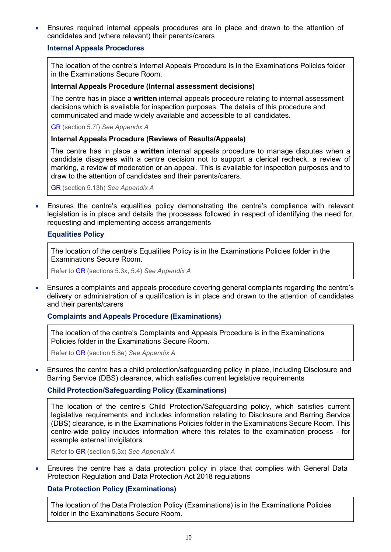Ensures required internal appeals procedures are in place and drawn to the attention of candidates and (where relevant) their parents/carers

#### Internal Appeals Procedures

The location of the centre's Internal Appeals Procedure is in the Examinations Policies folder in the Examinations Secure Room.

#### Internal Appeals Procedure (Internal assessment decisions)

The centre has in place a written internal appeals procedure relating to internal assessment decisions which is available for inspection purposes. The details of this procedure and communicated and made widely available and accessible to all candidates.

GR (section 5.7f) See Appendix A

#### Internal Appeals Procedure (Reviews of Results/Appeals)

The centre has in place a written internal appeals procedure to manage disputes when a candidate disagrees with a centre decision not to support a clerical recheck, a review of marking, a review of moderation or an appeal. This is available for inspection purposes and to draw to the attention of candidates and their parents/carers.

GR (section 5.13h) See Appendix A

 Ensures the centre's equalities policy demonstrating the centre's compliance with relevant legislation is in place and details the processes followed in respect of identifying the need for, requesting and implementing access arrangements

#### Equalities Policy

The location of the centre's Equalities Policy is in the Examinations Policies folder in the Examinations Secure Room.

Refer to GR (sections 5.3x, 5.4) See Appendix A

 Ensures a complaints and appeals procedure covering general complaints regarding the centre's delivery or administration of a qualification is in place and drawn to the attention of candidates and their parents/carers

#### Complaints and Appeals Procedure (Examinations)

The location of the centre's Complaints and Appeals Procedure is in the Examinations Policies folder in the Examinations Secure Room.

Refer to GR (section 5.8e) See Appendix A

 Ensures the centre has a child protection/safeguarding policy in place, including Disclosure and Barring Service (DBS) clearance, which satisfies current legislative requirements

#### Child Protection/Safeguarding Policy (Examinations)

The location of the centre's Child Protection/Safeguarding policy, which satisfies current legislative requirements and includes information relating to Disclosure and Barring Service (DBS) clearance, is in the Examinations Policies folder in the Examinations Secure Room. This centre-wide policy includes information where this relates to the examination process - for example external invigilators.

Refer to GR (section 5.3x) See Appendix A

 Ensures the centre has a data protection policy in place that complies with General Data Protection Regulation and Data Protection Act 2018 regulations

#### Data Protection Policy (Examinations)

The location of the Data Protection Policy (Examinations) is in the Examinations Policies folder in the Examinations Secure Room.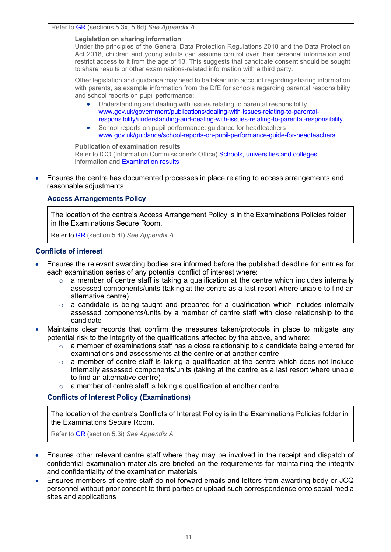Refer to GR (sections 5.3x, 5.8d) See Appendix A

#### Legislation on sharing information

Under the principles of the General Data Protection Regulations 2018 and the Data Protection Act 2018, children and young adults can assume control over their personal information and restrict access to it from the age of 13. This suggests that candidate consent should be sought to share results or other examinations-related information with a third party.

Other legislation and guidance may need to be taken into account regarding sharing information with parents, as example information from the DfE for schools regarding parental responsibility and school reports on pupil performance:

- Understanding and dealing with issues relating to parental responsibility www.gov.uk/government/publications/dealing-with-issues-relating-to-parentalresponsibility/understanding-and-dealing-with-issues-relating-to-parental-responsibility
- School reports on pupil performance: guidance for headteachers www.gov.uk/guidance/school-reports-on-pupil-performance-guide-for-headteachers

Publication of examination results Refer to ICO (Information Commissioner's Office) Schools, universities and colleges information and Examination results

 Ensures the centre has documented processes in place relating to access arrangements and reasonable adjustments

#### Access Arrangements Policy

The location of the centre's Access Arrangement Policy is in the Examinations Policies folder in the Examinations Secure Room.

Refer to GR (section 5.4f) See Appendix A

#### Conflicts of interest

- Ensures the relevant awarding bodies are informed before the published deadline for entries for each examination series of any potential conflict of interest where:
	- $\circ$  a member of centre staff is taking a qualification at the centre which includes internally assessed components/units (taking at the centre as a last resort where unable to find an alternative centre)
	- o a candidate is being taught and prepared for a qualification which includes internally assessed components/units by a member of centre staff with close relationship to the candidate
- Maintains clear records that confirm the measures taken/protocols in place to mitigate any potential risk to the integrity of the qualifications affected by the above, and where:
	- $\circ$  a member of examinations staff has a close relationship to a candidate being entered for examinations and assessments at the centre or at another centre
	- o a member of centre staff is taking a qualification at the centre which does not include internally assessed components/units (taking at the centre as a last resort where unable to find an alternative centre)
	- $\circ$  a member of centre staff is taking a qualification at another centre

#### Conflicts of Interest Policy (Examinations)

The location of the centre's Conflicts of Interest Policy is in the Examinations Policies folder in the Examinations Secure Room.

Refer to GR (section 5.3i) See Appendix A

- Ensures other relevant centre staff where they may be involved in the receipt and dispatch of confidential examination materials are briefed on the requirements for maintaining the integrity and confidentiality of the examination materials
- Ensures members of centre staff do not forward emails and letters from awarding body or JCQ personnel without prior consent to third parties or upload such correspondence onto social media sites and applications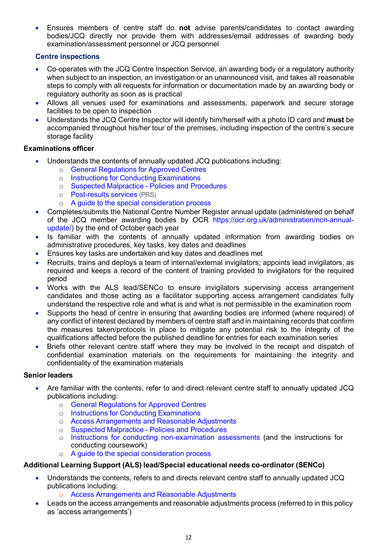Ensures members of centre staff do not advise parents/candidates to contact awarding bodies/JCQ directly nor provide them with addresses/email addresses of awarding body examination/assessment personnel or JCQ personnel

## Centre inspections

- Co-operates with the JCQ Centre Inspection Service, an awarding body or a regulatory authority when subject to an inspection, an investigation or an unannounced visit, and takes all reasonable steps to comply with all requests for information or documentation made by an awarding body or regulatory authority as soon as is practical
- Allows all venues used for examinations and assessments, paperwork and secure storage facilities to be open to inspection
- Understands the JCQ Centre Inspector will identify him/herself with a photo ID card and must be accompanied throughout his/her tour of the premises, including inspection of the centre's secure storage facility

## Examinations officer

- Understands the contents of annually updated JCQ publications including:
	- o General Regulations for Approved Centres
	- o Instructions for Conducting Examinations
	- o Suspected Malpractice Policies and Procedures
	- o Post-results services (PRS)
	- o A guide to the special consideration process
- Completes/submits the National Centre Number Register annual update (administered on behalf of the JCQ member awarding bodies by OCR https://ocr.org.uk/administration/ncn-annualupdate/) by the end of October each year
- Is familiar with the contents of annually updated information from awarding bodies on administrative procedures, key tasks, key dates and deadlines
- Ensures key tasks are undertaken and key dates and deadlines met
- Recruits, trains and deploys a team of internal/external invigilators; appoints lead invigilators, as required and keeps a record of the content of training provided to invigilators for the required period
- Works with the ALS lead/SENCo to ensure invigilators supervising access arrangement candidates and those acting as a facilitator supporting access arrangement candidates fully understand the respective role and what is and what is not permissible in the examination room
- Supports the head of centre in ensuring that awarding bodies are informed (where required) of any conflict of interest declared by members of centre staff and in maintaining records that confirm the measures taken/protocols in place to mitigate any potential risk to the integrity of the qualifications affected before the published deadline for entries for each examination series
- Briefs other relevant centre staff where they may be involved in the receipt and dispatch of confidential examination materials on the requirements for maintaining the integrity and confidentiality of the examination materials

#### Senior leaders

- Are familiar with the contents, refer to and direct relevant centre staff to annually updated JCQ publications including:
	- o General Regulations for Approved Centres
	- o Instructions for Conducting Examinations
	- o Access Arrangements and Reasonable Adjustments
	- Suspected Malpractice Policies and Procedures<br>○ Instructions for conducting non-examination ass
	- Instructions for conducting non-examination assessments (and the instructions for conducting coursework)
	- o A guide to the special consideration process

#### Additional Learning Support (ALS) lead/Special educational needs co-ordinator (SENCo)

- Understands the contents, refers to and directs relevant centre staff to annually updated JCQ publications including:
	- o Access Arrangements and Reasonable Adjustments
- Leads on the access arrangements and reasonable adjustments process (referred to in this policy as 'access arrangements')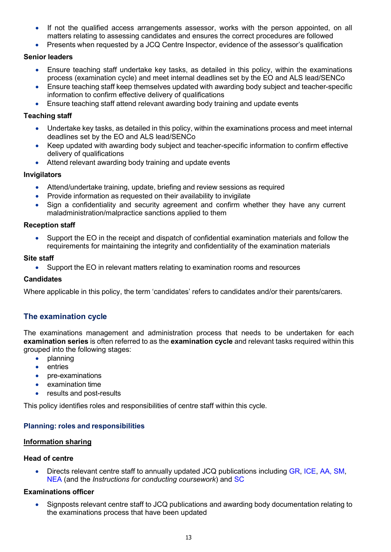- If not the qualified access arrangements assessor, works with the person appointed, on all matters relating to assessing candidates and ensures the correct procedures are followed
- Presents when requested by a JCQ Centre Inspector, evidence of the assessor's qualification

- Ensure teaching staff undertake key tasks, as detailed in this policy, within the examinations process (examination cycle) and meet internal deadlines set by the EO and ALS lead/SENCo
- Ensure teaching staff keep themselves updated with awarding body subject and teacher-specific information to confirm effective delivery of qualifications
- Ensure teaching staff attend relevant awarding body training and update events

#### Teaching staff

- Undertake key tasks, as detailed in this policy, within the examinations process and meet internal deadlines set by the EO and ALS lead/SENCo
- Keep updated with awarding body subject and teacher-specific information to confirm effective delivery of qualifications
- Attend relevant awarding body training and update events

#### Invigilators

- Attend/undertake training, update, briefing and review sessions as required
- Provide information as requested on their availability to invigilate
- Sign a confidentiality and security agreement and confirm whether they have any current maladministration/malpractice sanctions applied to them

#### Reception staff

 Support the EO in the receipt and dispatch of confidential examination materials and follow the requirements for maintaining the integrity and confidentiality of the examination materials

#### Site staff

Support the EO in relevant matters relating to examination rooms and resources

#### **Candidates**

Where applicable in this policy, the term 'candidates' refers to candidates and/or their parents/carers.

## The examination cycle

The examinations management and administration process that needs to be undertaken for each examination series is often referred to as the examination cycle and relevant tasks required within this grouped into the following stages:

- planning
- entries
- pre-examinations
- examination time
- results and post-results

This policy identifies roles and responsibilities of centre staff within this cycle.

#### Planning: roles and responsibilities

#### Information sharing

#### Head of centre

 Directs relevant centre staff to annually updated JCQ publications including GR, ICE, AA, SM, NEA (and the *Instructions for conducting coursework*) and SC

#### Examinations officer

 Signposts relevant centre staff to JCQ publications and awarding body documentation relating to the examinations process that have been updated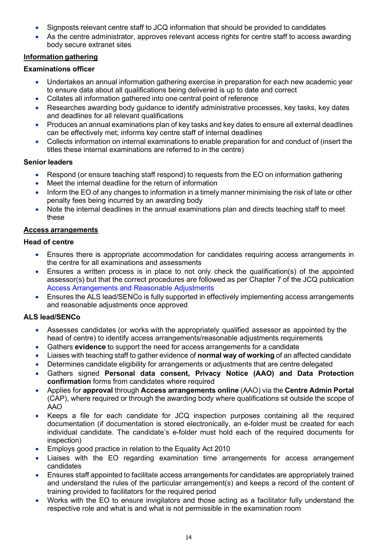- Signposts relevant centre staff to JCQ information that should be provided to candidates
- As the centre administrator, approves relevant access rights for centre staff to access awarding body secure extranet sites

## Information gathering

## Examinations officer

- Undertakes an annual information gathering exercise in preparation for each new academic year to ensure data about all qualifications being delivered is up to date and correct
- Collates all information gathered into one central point of reference
- Researches awarding body guidance to identify administrative processes, key tasks, key dates and deadlines for all relevant qualifications
- Produces an annual examinations plan of key tasks and key dates to ensure all external deadlines can be effectively met; informs key centre staff of internal deadlines
- Collects information on internal examinations to enable preparation for and conduct of (insert the titles these internal examinations are referred to in the centre)

#### Senior leaders

- Respond (or ensure teaching staff respond) to requests from the EO on information gathering
- Meet the internal deadline for the return of information
- Inform the EO of any changes to information in a timely manner minimising the risk of late or other penalty fees being incurred by an awarding body
- Note the internal deadlines in the annual examinations plan and directs teaching staff to meet these

#### Access arrangements

#### Head of centre

- Ensures there is appropriate accommodation for candidates requiring access arrangements in the centre for all examinations and assessments
- Ensures a written process is in place to not only check the qualification(s) of the appointed assessor(s) but that the correct procedures are followed as per Chapter 7 of the JCQ publication Access Arrangements and Reasonable Adjustments
- Ensures the ALS lead/SENCo is fully supported in effectively implementing access arrangements and reasonable adjustments once approved

## ALS lead/SENCo

- Assesses candidates (or works with the appropriately qualified assessor as appointed by the head of centre) to identify access arrangements/reasonable adjustments requirements
- Gathers evidence to support the need for access arrangements for a candidate
- Liaises with teaching staff to gather evidence of **normal way of working** of an affected candidate
- Determines candidate eligibility for arrangements or adjustments that are centre delegated
- Gathers signed Personal data consent, Privacy Notice (AAO) and Data Protection confirmation forms from candidates where required
- Applies for approval through Access arrangements online (AAO) via the Centre Admin Portal (CAP), where required or through the awarding body where qualifications sit outside the scope of AAO
- Keeps a file for each candidate for JCQ inspection purposes containing all the required documentation (if documentation is stored electronically, an e-folder must be created for each individual candidate. The candidate's e-folder must hold each of the required documents for inspection)
- Employs good practice in relation to the Equality Act 2010
- Liaises with the EO regarding examination time arrangements for access arrangement candidates
- Ensures staff appointed to facilitate access arrangements for candidates are appropriately trained and understand the rules of the particular arrangement(s) and keeps a record of the content of training provided to facilitators for the required period
- Works with the EO to ensure invigilators and those acting as a facilitator fully understand the respective role and what is and what is not permissible in the examination room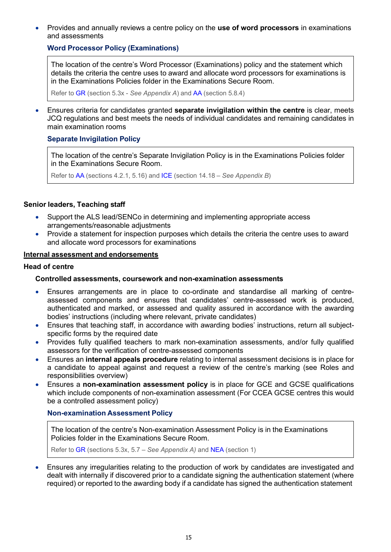Provides and annually reviews a centre policy on the use of word processors in examinations and assessments

## Word Processor Policy (Examinations)

The location of the centre's Word Processor (Examinations) policy and the statement which details the criteria the centre uses to award and allocate word processors for examinations is in the Examinations Policies folder in the Examinations Secure Room.

Refer to GR (section 5.3x - See Appendix A) and AA (section 5.8.4)

 Ensures criteria for candidates granted separate invigilation within the centre is clear, meets JCQ regulations and best meets the needs of individual candidates and remaining candidates in main examination rooms

#### Separate Invigilation Policy

The location of the centre's Separate Invigilation Policy is in the Examinations Policies folder in the Examinations Secure Room.

Refer to AA (sections 4.2.1, 5.16) and ICE (section 14.18 – See Appendix B)

#### Senior leaders, Teaching staff

- Support the ALS lead/SENCo in determining and implementing appropriate access arrangements/reasonable adjustments
- Provide a statement for inspection purposes which details the criteria the centre uses to award and allocate word processors for examinations

## Internal assessment and endorsements

#### Head of centre

#### Controlled assessments, coursework and non-examination assessments

- Ensures arrangements are in place to co-ordinate and standardise all marking of centreassessed components and ensures that candidates' centre-assessed work is produced, authenticated and marked, or assessed and quality assured in accordance with the awarding bodies' instructions (including where relevant, private candidates)
- Ensures that teaching staff, in accordance with awarding bodies' instructions, return all subjectspecific forms by the required date
- Provides fully qualified teachers to mark non-examination assessments, and/or fully qualified assessors for the verification of centre-assessed components
- Ensures an internal appeals procedure relating to internal assessment decisions is in place for a candidate to appeal against and request a review of the centre's marking (see Roles and responsibilities overview)
- Ensures a non-examination assessment policy is in place for GCE and GCSE qualifications which include components of non-examination assessment (For CCEA GCSE centres this would be a controlled assessment policy)

#### Non-examination Assessment Policy

The location of the centre's Non-examination Assessment Policy is in the Examinations Policies folder in the Examinations Secure Room.

Refer to GR (sections 5.3x, 5.7 – See Appendix A) and NEA (section 1)

 Ensures any irregularities relating to the production of work by candidates are investigated and dealt with internally if discovered prior to a candidate signing the authentication statement (where required) or reported to the awarding body if a candidate has signed the authentication statement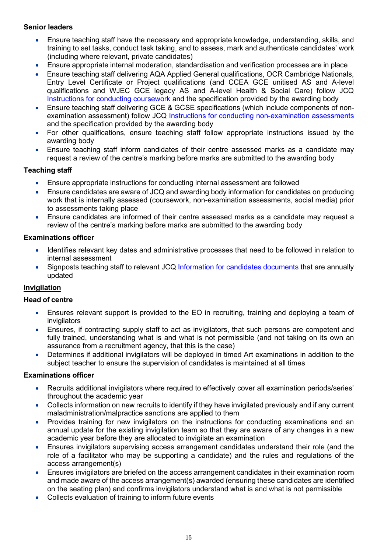- Ensure teaching staff have the necessary and appropriate knowledge, understanding, skills, and training to set tasks, conduct task taking, and to assess, mark and authenticate candidates' work (including where relevant, private candidates)
- Ensure appropriate internal moderation, standardisation and verification processes are in place
- Ensure teaching staff delivering AQA Applied General qualifications, OCR Cambridge Nationals, Entry Level Certificate or Project qualifications (and CCEA GCE unitised AS and A-level qualifications and WJEC GCE legacy AS and A-level Health & Social Care) follow JCQ Instructions for conducting coursework and the specification provided by the awarding body
- Ensure teaching staff delivering GCE & GCSE specifications (which include components of nonexamination assessment) follow JCQ Instructions for conducting non-examination assessments and the specification provided by the awarding body
- For other qualifications, ensure teaching staff follow appropriate instructions issued by the awarding body
- Ensure teaching staff inform candidates of their centre assessed marks as a candidate may request a review of the centre's marking before marks are submitted to the awarding body

## Teaching staff

- Ensure appropriate instructions for conducting internal assessment are followed
- Ensure candidates are aware of JCQ and awarding body information for candidates on producing work that is internally assessed (coursework, non-examination assessments, social media) prior to assessments taking place
- Ensure candidates are informed of their centre assessed marks as a candidate may request a review of the centre's marking before marks are submitted to the awarding body

## Examinations officer

- Identifies relevant key dates and administrative processes that need to be followed in relation to internal assessment
- Signposts teaching staff to relevant JCQ Information for candidates documents that are annually updated

## Invigilation

#### Head of centre

- Ensures relevant support is provided to the EO in recruiting, training and deploying a team of invigilators
- Ensures, if contracting supply staff to act as invigilators, that such persons are competent and fully trained, understanding what is and what is not permissible (and not taking on its own an assurance from a recruitment agency, that this is the case)
- Determines if additional invigilators will be deployed in timed Art examinations in addition to the subject teacher to ensure the supervision of candidates is maintained at all times

#### Examinations officer

- Recruits additional invigilators where required to effectively cover all examination periods/series' throughout the academic year
- Collects information on new recruits to identify if they have invigilated previously and if any current maladministration/malpractice sanctions are applied to them
- Provides training for new invigilators on the instructions for conducting examinations and an annual update for the existing invigilation team so that they are aware of any changes in a new academic year before they are allocated to invigilate an examination
- Ensures invigilators supervising access arrangement candidates understand their role (and the role of a facilitator who may be supporting a candidate) and the rules and regulations of the access arrangement(s)
- Ensures invigilators are briefed on the access arrangement candidates in their examination room and made aware of the access arrangement(s) awarded (ensuring these candidates are identified on the seating plan) and confirms invigilators understand what is and what is not permissible
- Collects evaluation of training to inform future events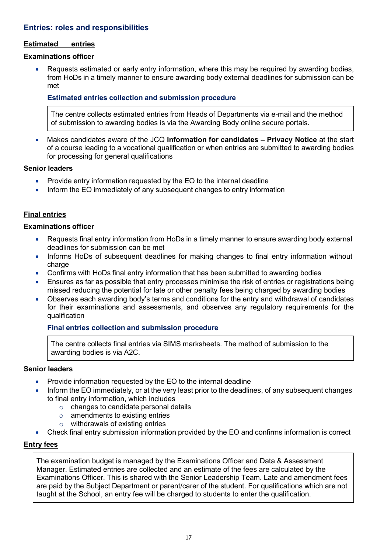## Entries: roles and responsibilities

#### Estimated entries

#### Examinations officer

 Requests estimated or early entry information, where this may be required by awarding bodies, from HoDs in a timely manner to ensure awarding body external deadlines for submission can be met

## Estimated entries collection and submission procedure

The centre collects estimated entries from Heads of Departments via e-mail and the method of submission to awarding bodies is via the Awarding Body online secure portals.

Makes candidates aware of the JCQ Information for candidates - Privacy Notice at the start of a course leading to a vocational qualification or when entries are submitted to awarding bodies for processing for general qualifications

## Senior leaders

- Provide entry information requested by the EO to the internal deadline
- Inform the EO immediately of any subsequent changes to entry information

## Final entries

#### Examinations officer

- Requests final entry information from HoDs in a timely manner to ensure awarding body external deadlines for submission can be met
- Informs HoDs of subsequent deadlines for making changes to final entry information without charge
- Confirms with HoDs final entry information that has been submitted to awarding bodies
- Ensures as far as possible that entry processes minimise the risk of entries or registrations being missed reducing the potential for late or other penalty fees being charged by awarding bodies
- Observes each awarding body's terms and conditions for the entry and withdrawal of candidates for their examinations and assessments, and observes any regulatory requirements for the qualification

#### Final entries collection and submission procedure

The centre collects final entries via SIMS marksheets. The method of submission to the awarding bodies is via A2C.

#### Senior leaders

- Provide information requested by the EO to the internal deadline
- Inform the EO immediately, or at the very least prior to the deadlines, of any subsequent changes to final entry information, which includes
	- o changes to candidate personal details
	- $\circ$  amendments to existing entries
	- $\circ$  withdrawals of existing entries
- Check final entry submission information provided by the EO and confirms information is correct

#### Entry fees

The examination budget is managed by the Examinations Officer and Data & Assessment Manager. Estimated entries are collected and an estimate of the fees are calculated by the Examinations Officer. This is shared with the Senior Leadership Team. Late and amendment fees are paid by the Subject Department or parent/carer of the student. For qualifications which are not taught at the School, an entry fee will be charged to students to enter the qualification.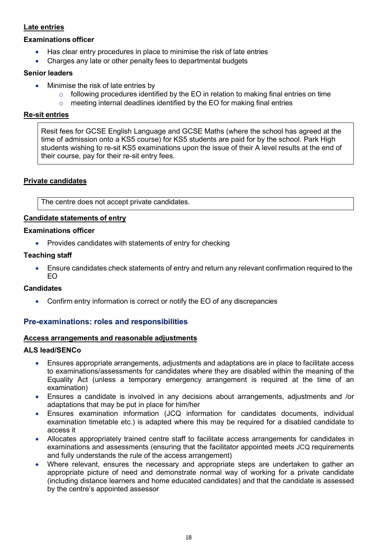## Late entries

#### Examinations officer

- Has clear entry procedures in place to minimise the risk of late entries
- Charges any late or other penalty fees to departmental budgets

#### Senior leaders

- Minimise the risk of late entries by
	- $\circ$  following procedures identified by the EO in relation to making final entries on time
	- $\circ$  meeting internal deadlines identified by the EO for making final entries

## Re-sit entries

Resit fees for GCSE English Language and GCSE Maths (where the school has agreed at the time of admission onto a KS5 course) for KS5 students are paid for by the school. Park High students wishing to re-sit KS5 examinations upon the issue of their A level results at the end of their course, pay for their re-sit entry fees.

## Private candidates

The centre does not accept private candidates.

## Candidate statements of entry

#### Examinations officer

Provides candidates with statements of entry for checking

## Teaching staff

 Ensure candidates check statements of entry and return any relevant confirmation required to the EO

#### **Candidates**

Confirm entry information is correct or notify the EO of any discrepancies

## Pre-examinations: roles and responsibilities

#### Access arrangements and reasonable adjustments

#### ALS lead/SENCo

- Ensures appropriate arrangements, adjustments and adaptations are in place to facilitate access to examinations/assessments for candidates where they are disabled within the meaning of the Equality Act (unless a temporary emergency arrangement is required at the time of an examination)
- Ensures a candidate is involved in any decisions about arrangements, adjustments and /or adaptations that may be put in place for him/her
- Ensures examination information (JCQ information for candidates documents, individual examination timetable etc.) is adapted where this may be required for a disabled candidate to access it
- Allocates appropriately trained centre staff to facilitate access arrangements for candidates in examinations and assessments (ensuring that the facilitator appointed meets JCQ requirements and fully understands the rule of the access arrangement)
- Where relevant, ensures the necessary and appropriate steps are undertaken to gather an appropriate picture of need and demonstrate normal way of working for a private candidate (including distance learners and home educated candidates) and that the candidate is assessed by the centre's appointed assessor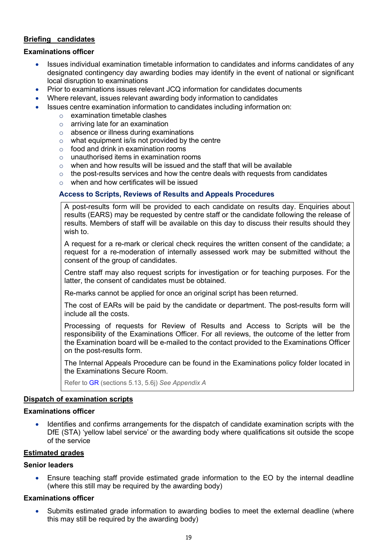#### Briefing candidates

#### Examinations officer

- Issues individual examination timetable information to candidates and informs candidates of any designated contingency day awarding bodies may identify in the event of national or significant local disruption to examinations
- Prior to examinations issues relevant JCQ information for candidates documents
- Where relevant, issues relevant awarding body information to candidates
- Issues centre examination information to candidates including information on:
	- $\circ$  examination timetable clashes
	- $\circ$  arriving late for an examination
	- o absence or illness during examinations
	- $\circ$  what equipment is/is not provided by the centre
	- $\circ$  food and drink in examination rooms
	- o unauthorised items in examination rooms
	- $\circ$  when and how results will be issued and the staff that will be available
	- $\circ$  the post-results services and how the centre deals with requests from candidates
	- o when and how certificates will be issued

#### Access to Scripts, Reviews of Results and Appeals Procedures

A post-results form will be provided to each candidate on results day. Enquiries about results (EARS) may be requested by centre staff or the candidate following the release of results. Members of staff will be available on this day to discuss their results should they wish to.

A request for a re-mark or clerical check requires the written consent of the candidate; a request for a re-moderation of internally assessed work may be submitted without the consent of the group of candidates.

Centre staff may also request scripts for investigation or for teaching purposes. For the latter, the consent of candidates must be obtained.

Re-marks cannot be applied for once an original script has been returned.

The cost of EARs will be paid by the candidate or department. The post-results form will include all the costs.

Processing of requests for Review of Results and Access to Scripts will be the responsibility of the Examinations Officer. For all reviews, the outcome of the letter from the Examination board will be e-mailed to the contact provided to the Examinations Officer on the post-results form.

The Internal Appeals Procedure can be found in the Examinations policy folder located in the Examinations Secure Room.

Refer to GR (sections 5.13, 5.6j) See Appendix A

#### Dispatch of examination scripts

#### Examinations officer

 Identifies and confirms arrangements for the dispatch of candidate examination scripts with the DfE (STA) 'yellow label service' or the awarding body where qualifications sit outside the scope of the service

#### **Estimated grades**

#### Senior leaders

 Ensure teaching staff provide estimated grade information to the EO by the internal deadline (where this still may be required by the awarding body)

#### Examinations officer

 Submits estimated grade information to awarding bodies to meet the external deadline (where this may still be required by the awarding body)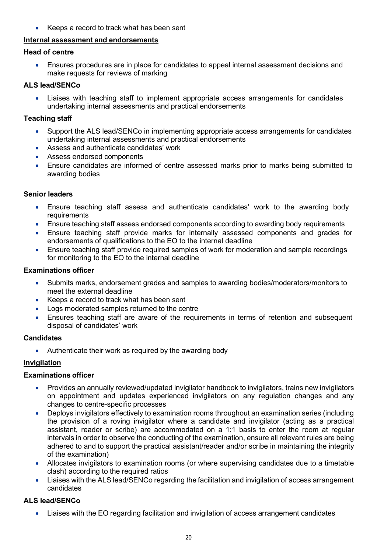Keeps a record to track what has been sent

## Internal assessment and endorsements

## Head of centre

 Ensures procedures are in place for candidates to appeal internal assessment decisions and make requests for reviews of marking

## ALS lead/SENCo

 Liaises with teaching staff to implement appropriate access arrangements for candidates undertaking internal assessments and practical endorsements

## Teaching staff

- Support the ALS lead/SENCo in implementing appropriate access arrangements for candidates undertaking internal assessments and practical endorsements
- Assess and authenticate candidates' work
- Assess endorsed components
- Ensure candidates are informed of centre assessed marks prior to marks being submitted to awarding bodies

## Senior leaders

- Ensure teaching staff assess and authenticate candidates' work to the awarding body requirements
- Ensure teaching staff assess endorsed components according to awarding body requirements
- Ensure teaching staff provide marks for internally assessed components and grades for endorsements of qualifications to the EO to the internal deadline
- Ensure teaching staff provide required samples of work for moderation and sample recordings for monitoring to the EO to the internal deadline

## Examinations officer

- Submits marks, endorsement grades and samples to awarding bodies/moderators/monitors to meet the external deadline
- Keeps a record to track what has been sent
- Logs moderated samples returned to the centre
- Ensures teaching staff are aware of the requirements in terms of retention and subsequent disposal of candidates' work

#### **Candidates**

• Authenticate their work as required by the awarding body

## **Invigilation**

#### Examinations officer

- Provides an annually reviewed/updated invigilator handbook to invigilators, trains new invigilators on appointment and updates experienced invigilators on any regulation changes and any changes to centre-specific processes
- Deploys invigilators effectively to examination rooms throughout an examination series (including the provision of a roving invigilator where a candidate and invigilator (acting as a practical assistant, reader or scribe) are accommodated on a 1:1 basis to enter the room at regular intervals in order to observe the conducting of the examination, ensure all relevant rules are being adhered to and to support the practical assistant/reader and/or scribe in maintaining the integrity of the examination)
- Allocates invigilators to examination rooms (or where supervising candidates due to a timetable clash) according to the required ratios
- Liaises with the ALS lead/SENCo regarding the facilitation and invigilation of access arrangement candidates

## ALS lead/SENCo

Liaises with the EO regarding facilitation and invigilation of access arrangement candidates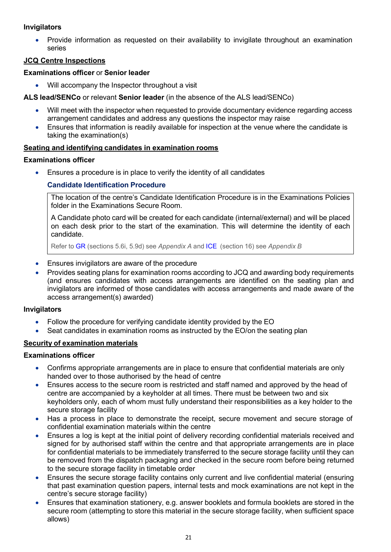## Invigilators

 Provide information as requested on their availability to invigilate throughout an examination series

## JCQ Centre Inspections

## Examinations officer or Senior leader

Will accompany the Inspector throughout a visit

ALS lead/SENCo or relevant Senior leader (in the absence of the ALS lead/SENCo)

- Will meet with the inspector when requested to provide documentary evidence regarding access arrangement candidates and address any questions the inspector may raise
- Ensures that information is readily available for inspection at the venue where the candidate is taking the examination(s)

## Seating and identifying candidates in examination rooms

## Examinations officer

Ensures a procedure is in place to verify the identity of all candidates

## Candidate Identification Procedure

The location of the centre's Candidate Identification Procedure is in the Examinations Policies folder in the Examinations Secure Room.

A Candidate photo card will be created for each candidate (internal/external) and will be placed on each desk prior to the start of the examination. This will determine the identity of each candidate.

Refer to GR (sections 5.6i, 5.9d) see Appendix A and ICE (section 16) see Appendix B

- Ensures invigilators are aware of the procedure
- Provides seating plans for examination rooms according to JCQ and awarding body requirements (and ensures candidates with access arrangements are identified on the seating plan and invigilators are informed of those candidates with access arrangements and made aware of the access arrangement(s) awarded)

#### Invigilators

- Follow the procedure for verifying candidate identity provided by the EO
- Seat candidates in examination rooms as instructed by the EO/on the seating plan

## Security of examination materials

#### Examinations officer

- Confirms appropriate arrangements are in place to ensure that confidential materials are only handed over to those authorised by the head of centre
- Ensures access to the secure room is restricted and staff named and approved by the head of centre are accompanied by a keyholder at all times. There must be between two and six keyholders only, each of whom must fully understand their responsibilities as a key holder to the secure storage facility
- Has a process in place to demonstrate the receipt, secure movement and secure storage of confidential examination materials within the centre
- Ensures a log is kept at the initial point of delivery recording confidential materials received and signed for by authorised staff within the centre and that appropriate arrangements are in place for confidential materials to be immediately transferred to the secure storage facility until they can be removed from the dispatch packaging and checked in the secure room before being returned to the secure storage facility in timetable order
- Ensures the secure storage facility contains only current and live confidential material (ensuring that past examination question papers, internal tests and mock examinations are not kept in the centre's secure storage facility)
- Ensures that examination stationery, e.g. answer booklets and formula booklets are stored in the secure room (attempting to store this material in the secure storage facility, when sufficient space allows)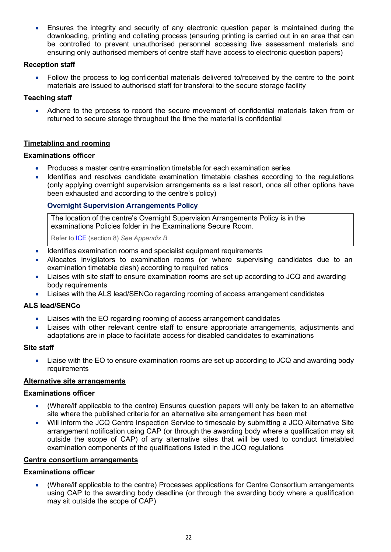Ensures the integrity and security of any electronic question paper is maintained during the downloading, printing and collating process (ensuring printing is carried out in an area that can be controlled to prevent unauthorised personnel accessing live assessment materials and ensuring only authorised members of centre staff have access to electronic question papers)

#### Reception staff

 Follow the process to log confidential materials delivered to/received by the centre to the point materials are issued to authorised staff for transferal to the secure storage facility

## Teaching staff

 Adhere to the process to record the secure movement of confidential materials taken from or returned to secure storage throughout the time the material is confidential

## Timetabling and rooming

#### Examinations officer

- Produces a master centre examination timetable for each examination series
- Identifies and resolves candidate examination timetable clashes according to the regulations (only applying overnight supervision arrangements as a last resort, once all other options have been exhausted and according to the centre's policy)

## Overnight Supervision Arrangements Policy

The location of the centre's Overnight Supervision Arrangements Policy is in the examinations Policies folder in the Examinations Secure Room.

Refer to ICE (section 8) See Appendix B

- Identifies examination rooms and specialist equipment requirements
- Allocates invigilators to examination rooms (or where supervising candidates due to an examination timetable clash) according to required ratios
- Liaises with site staff to ensure examination rooms are set up according to JCQ and awarding body requirements
- Liaises with the ALS lead/SENCo regarding rooming of access arrangement candidates

#### ALS lead/SENCo

- Liaises with the EO regarding rooming of access arrangement candidates
- Liaises with other relevant centre staff to ensure appropriate arrangements, adjustments and adaptations are in place to facilitate access for disabled candidates to examinations

#### Site staff

 Liaise with the EO to ensure examination rooms are set up according to JCQ and awarding body requirements

#### Alternative site arrangements

#### Examinations officer

- (Where/if applicable to the centre) Ensures question papers will only be taken to an alternative site where the published criteria for an alternative site arrangement has been met
- Will inform the JCQ Centre Inspection Service to timescale by submitting a JCQ Alternative Site arrangement notification using CAP (or through the awarding body where a qualification may sit outside the scope of CAP) of any alternative sites that will be used to conduct timetabled examination components of the qualifications listed in the JCQ regulations

## Centre consortium arrangements

#### Examinations officer

 (Where/if applicable to the centre) Processes applications for Centre Consortium arrangements using CAP to the awarding body deadline (or through the awarding body where a qualification may sit outside the scope of CAP)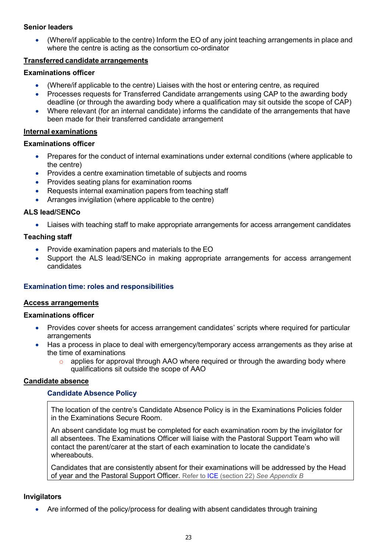(Where/if applicable to the centre) Inform the EO of any joint teaching arrangements in place and where the centre is acting as the consortium co-ordinator

#### Transferred candidate arrangements

#### Examinations officer

- (Where/if applicable to the centre) Liaises with the host or entering centre, as required
- Processes requests for Transferred Candidate arrangements using CAP to the awarding body deadline (or through the awarding body where a qualification may sit outside the scope of CAP)
- Where relevant (for an internal candidate) informs the candidate of the arrangements that have been made for their transferred candidate arrangement

## Internal examinations

#### Examinations officer

- Prepares for the conduct of internal examinations under external conditions (where applicable to the centre)
- Provides a centre examination timetable of subjects and rooms
- Provides seating plans for examination rooms
- Requests internal examination papers from teaching staff
- Arranges invigilation (where applicable to the centre)

## ALS lead/SENCo

Liaises with teaching staff to make appropriate arrangements for access arrangement candidates

## Teaching staff

- Provide examination papers and materials to the EO
- Support the ALS lead/SENCo in making appropriate arrangements for access arrangement candidates

#### Examination time: roles and responsibilities

#### Access arrangements

#### Examinations officer

- Provides cover sheets for access arrangement candidates' scripts where required for particular arrangements
- Has a process in place to deal with emergency/temporary access arrangements as they arise at the time of examinations
	- $\circ$  applies for approval through AAO where required or through the awarding body where qualifications sit outside the scope of AAO

#### Candidate absence

## Candidate Absence Policy

The location of the centre's Candidate Absence Policy is in the Examinations Policies folder in the Examinations Secure Room.

An absent candidate log must be completed for each examination room by the invigilator for all absentees. The Examinations Officer will liaise with the Pastoral Support Team who will contact the parent/carer at the start of each examination to locate the candidate's whereabouts.

Candidates that are consistently absent for their examinations will be addressed by the Head of year and the Pastoral Support Officer. Refer to ICE (section 22) See Appendix B

#### **Invigilators**

Are informed of the policy/process for dealing with absent candidates through training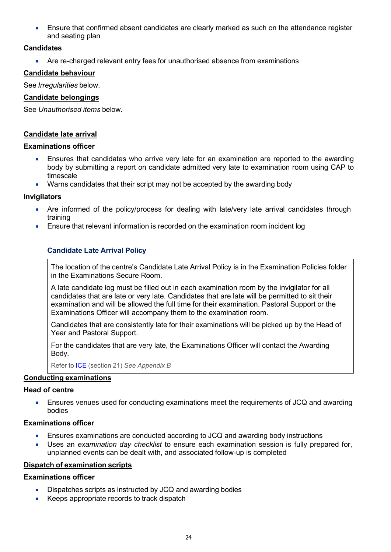Ensure that confirmed absent candidates are clearly marked as such on the attendance register and seating plan

## **Candidates**

Are re-charged relevant entry fees for unauthorised absence from examinations

#### Candidate behaviour

See Irregularities below.

#### Candidate belongings

See Unauthorised items below.

#### Candidate late arrival

#### Examinations officer

- Ensures that candidates who arrive very late for an examination are reported to the awarding body by submitting a report on candidate admitted very late to examination room using CAP to timescale
- Warns candidates that their script may not be accepted by the awarding body

#### Invigilators

- Are informed of the policy/process for dealing with late/very late arrival candidates through training
- Ensure that relevant information is recorded on the examination room incident log

## Candidate Late Arrival Policy

The location of the centre's Candidate Late Arrival Policy is in the Examination Policies folder in the Examinations Secure Room.

A late candidate log must be filled out in each examination room by the invigilator for all candidates that are late or very late. Candidates that are late will be permitted to sit their examination and will be allowed the full time for their examination. Pastoral Support or the Examinations Officer will accompany them to the examination room.

Candidates that are consistently late for their examinations will be picked up by the Head of Year and Pastoral Support.

For the candidates that are very late, the Examinations Officer will contact the Awarding Body.

Refer to ICE (section 21) See Appendix B

#### Conducting examinations

#### Head of centre

 Ensures venues used for conducting examinations meet the requirements of JCQ and awarding bodies

#### Examinations officer

- Ensures examinations are conducted according to JCQ and awarding body instructions
- Uses an examination day checklist to ensure each examination session is fully prepared for, unplanned events can be dealt with, and associated follow-up is completed

#### Dispatch of examination scripts

#### Examinations officer

- Dispatches scripts as instructed by JCQ and awarding bodies
- Keeps appropriate records to track dispatch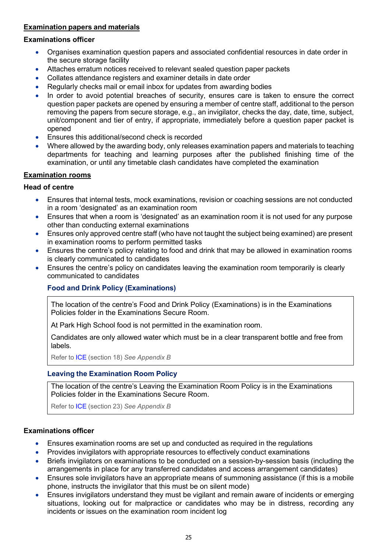## Examination papers and materials

#### Examinations officer

- Organises examination question papers and associated confidential resources in date order in the secure storage facility
- Attaches erratum notices received to relevant sealed question paper packets
- Collates attendance registers and examiner details in date order
- Regularly checks mail or email inbox for updates from awarding bodies
- In order to avoid potential breaches of security, ensures care is taken to ensure the correct question paper packets are opened by ensuring a member of centre staff, additional to the person removing the papers from secure storage, e.g., an invigilator, checks the day, date, time, subject, unit/component and tier of entry, if appropriate, immediately before a question paper packet is opened
- **Ensures this additional/second check is recorded**
- Where allowed by the awarding body, only releases examination papers and materials to teaching departments for teaching and learning purposes after the published finishing time of the examination, or until any timetable clash candidates have completed the examination

## Examination rooms

## Head of centre

- Ensures that internal tests, mock examinations, revision or coaching sessions are not conducted in a room 'designated' as an examination room
- Ensures that when a room is 'designated' as an examination room it is not used for any purpose other than conducting external examinations
- Ensures only approved centre staff (who have not taught the subject being examined) are present in examination rooms to perform permitted tasks
- Ensures the centre's policy relating to food and drink that may be allowed in examination rooms is clearly communicated to candidates
- Ensures the centre's policy on candidates leaving the examination room temporarily is clearly communicated to candidates

## Food and Drink Policy (Examinations)

The location of the centre's Food and Drink Policy (Examinations) is in the Examinations Policies folder in the Examinations Secure Room.

At Park High School food is not permitted in the examination room.

Candidates are only allowed water which must be in a clear transparent bottle and free from labels.

Refer to ICE (section 18) See Appendix B

#### Leaving the Examination Room Policy

The location of the centre's Leaving the Examination Room Policy is in the Examinations Policies folder in the Examinations Secure Room.

Refer to ICE (section 23) See Appendix B

#### Examinations officer

- Ensures examination rooms are set up and conducted as required in the regulations
- Provides invigilators with appropriate resources to effectively conduct examinations
- Briefs invigilators on examinations to be conducted on a session-by-session basis (including the arrangements in place for any transferred candidates and access arrangement candidates)
- Ensures sole invigilators have an appropriate means of summoning assistance (if this is a mobile phone, instructs the invigilator that this must be on silent mode)
- Ensures invigilators understand they must be vigilant and remain aware of incidents or emerging situations, looking out for malpractice or candidates who may be in distress, recording any incidents or issues on the examination room incident log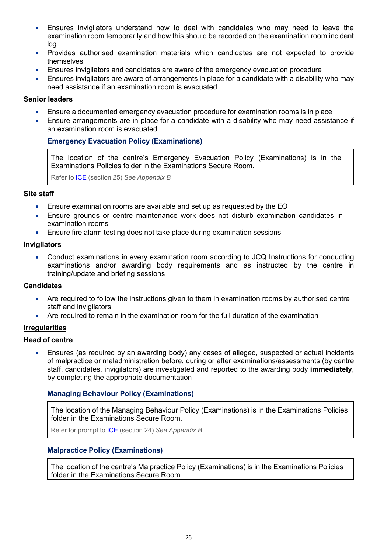- Ensures invigilators understand how to deal with candidates who may need to leave the examination room temporarily and how this should be recorded on the examination room incident log
- Provides authorised examination materials which candidates are not expected to provide themselves
- Ensures invigilators and candidates are aware of the emergency evacuation procedure
- Ensures invigilators are aware of arrangements in place for a candidate with a disability who may need assistance if an examination room is evacuated

- Ensure a documented emergency evacuation procedure for examination rooms is in place
- Ensure arrangements are in place for a candidate with a disability who may need assistance if an examination room is evacuated

#### Emergency Evacuation Policy (Examinations)

The location of the centre's Emergency Evacuation Policy (Examinations) is in the Examinations Policies folder in the Examinations Secure Room.

Refer to ICE (section 25) See Appendix B

#### Site staff

- Ensure examination rooms are available and set up as requested by the EO
- Ensure grounds or centre maintenance work does not disturb examination candidates in examination rooms
- Ensure fire alarm testing does not take place during examination sessions

#### Invigilators

 Conduct examinations in every examination room according to JCQ Instructions for conducting examinations and/or awarding body requirements and as instructed by the centre in training/update and briefing sessions

#### **Candidates**

- Are required to follow the instructions given to them in examination rooms by authorised centre staff and invigilators
- Are required to remain in the examination room for the full duration of the examination

#### Irregularities

#### Head of centre

 Ensures (as required by an awarding body) any cases of alleged, suspected or actual incidents of malpractice or maladministration before, during or after examinations/assessments (by centre staff, candidates, invigilators) are investigated and reported to the awarding body immediately, by completing the appropriate documentation

#### Managing Behaviour Policy (Examinations)

The location of the Managing Behaviour Policy (Examinations) is in the Examinations Policies folder in the Examinations Secure Room.

Refer for prompt to ICE (section 24) See Appendix B

#### Malpractice Policy (Examinations)

The location of the centre's Malpractice Policy (Examinations) is in the Examinations Policies folder in the Examinations Secure Room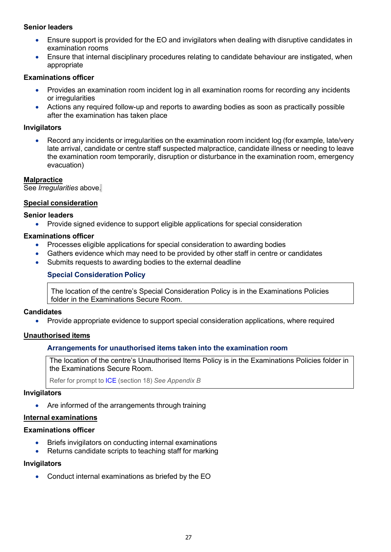- Ensure support is provided for the EO and invigilators when dealing with disruptive candidates in examination rooms
- Ensure that internal disciplinary procedures relating to candidate behaviour are instigated, when appropriate

#### Examinations officer

- Provides an examination room incident log in all examination rooms for recording any incidents or irregularities
- Actions any required follow-up and reports to awarding bodies as soon as practically possible after the examination has taken place

#### Invigilators

 Record any incidents or irregularities on the examination room incident log (for example, late/very late arrival, candidate or centre staff suspected malpractice, candidate illness or needing to leave the examination room temporarily, disruption or disturbance in the examination room, emergency evacuation)

#### **Malpractice**

See Irregularities above.

#### Special consideration

#### Senior leaders

Provide signed evidence to support eligible applications for special consideration

#### Examinations officer

- Processes eligible applications for special consideration to awarding bodies
- Gathers evidence which may need to be provided by other staff in centre or candidates
- Submits requests to awarding bodies to the external deadline

#### Special Consideration Policy

The location of the centre's Special Consideration Policy is in the Examinations Policies folder in the Examinations Secure Room.

#### **Candidates**

Provide appropriate evidence to support special consideration applications, where required

#### Unauthorised items

#### Arrangements for unauthorised items taken into the examination room

The location of the centre's Unauthorised Items Policy is in the Examinations Policies folder in the Examinations Secure Room.

Refer for prompt to ICE (section 18) See Appendix B

#### Invigilators

Are informed of the arrangements through training

#### Internal examinations

#### Examinations officer

- Briefs invigilators on conducting internal examinations
- Returns candidate scripts to teaching staff for marking

#### **Invigilators**

Conduct internal examinations as briefed by the EO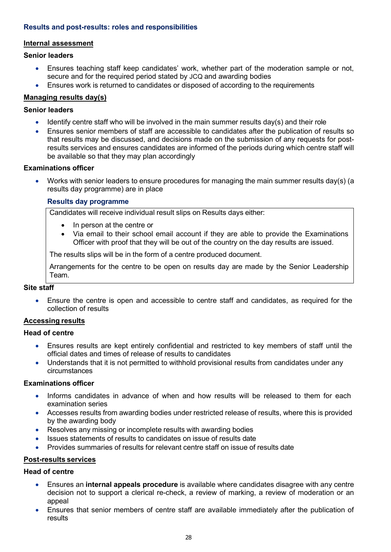## Results and post-results: roles and responsibilities

#### Internal assessment

#### Senior leaders

- Ensures teaching staff keep candidates' work, whether part of the moderation sample or not, secure and for the required period stated by JCQ and awarding bodies
- Ensures work is returned to candidates or disposed of according to the requirements

## Managing results day(s)

#### Senior leaders

- **IDENT** Identify centre staff who will be involved in the main summer results day(s) and their role
- Ensures senior members of staff are accessible to candidates after the publication of results so that results may be discussed, and decisions made on the submission of any requests for postresults services and ensures candidates are informed of the periods during which centre staff will be available so that they may plan accordingly

#### Examinations officer

Works with senior leaders to ensure procedures for managing the main summer results day(s) (a results day programme) are in place

#### Results day programme

Candidates will receive individual result slips on Results days either:

- In person at the centre or
- Via email to their school email account if they are able to provide the Examinations Officer with proof that they will be out of the country on the day results are issued.

The results slips will be in the form of a centre produced document.

Arrangements for the centre to be open on results day are made by the Senior Leadership Team.

#### Site staff

 Ensure the centre is open and accessible to centre staff and candidates, as required for the collection of results

#### Accessing results

#### Head of centre

- Ensures results are kept entirely confidential and restricted to key members of staff until the official dates and times of release of results to candidates
- Understands that it is not permitted to withhold provisional results from candidates under any circumstances

## Examinations officer

- Informs candidates in advance of when and how results will be released to them for each examination series
- Accesses results from awarding bodies under restricted release of results, where this is provided by the awarding body
- Resolves any missing or incomplete results with awarding bodies
- Issues statements of results to candidates on issue of results date
- Provides summaries of results for relevant centre staff on issue of results date

#### Post-results services

## Head of centre

- Ensures an internal appeals procedure is available where candidates disagree with any centre decision not to support a clerical re-check, a review of marking, a review of moderation or an appeal
- Ensures that senior members of centre staff are available immediately after the publication of results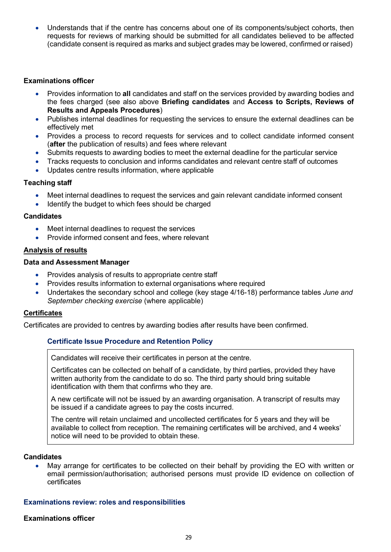Understands that if the centre has concerns about one of its components/subject cohorts, then requests for reviews of marking should be submitted for all candidates believed to be affected (candidate consent is required as marks and subject grades may be lowered, confirmed or raised)

#### Examinations officer

- Provides information to all candidates and staff on the services provided by awarding bodies and the fees charged (see also above Briefing candidates and Access to Scripts, Reviews of Results and Appeals Procedures)
- Publishes internal deadlines for requesting the services to ensure the external deadlines can be effectively met
- Provides a process to record requests for services and to collect candidate informed consent (after the publication of results) and fees where relevant
- Submits requests to awarding bodies to meet the external deadline for the particular service
- Tracks requests to conclusion and informs candidates and relevant centre staff of outcomes
- Updates centre results information, where applicable

#### Teaching staff

- Meet internal deadlines to request the services and gain relevant candidate informed consent
- Identify the budget to which fees should be charged

#### **Candidates**

- Meet internal deadlines to request the services
- Provide informed consent and fees, where relevant

#### Analysis of results

#### Data and Assessment Manager

- Provides analysis of results to appropriate centre staff
- Provides results information to external organisations where required
- Undertakes the secondary school and college (key stage 4/16-18) performance tables June and September checking exercise (where applicable)

#### **Certificates**

Certificates are provided to centres by awarding bodies after results have been confirmed.

## Certificate Issue Procedure and Retention Policy

Candidates will receive their certificates in person at the centre.

Certificates can be collected on behalf of a candidate, by third parties, provided they have written authority from the candidate to do so. The third party should bring suitable identification with them that confirms who they are.

A new certificate will not be issued by an awarding organisation. A transcript of results may be issued if a candidate agrees to pay the costs incurred.

The centre will retain unclaimed and uncollected certificates for 5 years and they will be available to collect from reception. The remaining certificates will be archived, and 4 weeks' notice will need to be provided to obtain these.

## **Candidates**

 May arrange for certificates to be collected on their behalf by providing the EO with written or email permission/authorisation; authorised persons must provide ID evidence on collection of certificates

#### Examinations review: roles and responsibilities

#### Examinations officer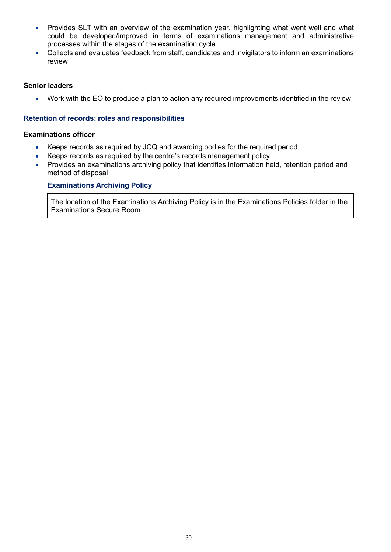- Provides SLT with an overview of the examination year, highlighting what went well and what could be developed/improved in terms of examinations management and administrative processes within the stages of the examination cycle
- Collects and evaluates feedback from staff, candidates and invigilators to inform an examinations review

Work with the EO to produce a plan to action any required improvements identified in the review

#### Retention of records: roles and responsibilities

#### Examinations officer

- Keeps records as required by JCQ and awarding bodies for the required period
- Keeps records as required by the centre's records management policy
- Provides an examinations archiving policy that identifies information held, retention period and method of disposal

#### Examinations Archiving Policy

The location of the Examinations Archiving Policy is in the Examinations Policies folder in the Examinations Secure Room.